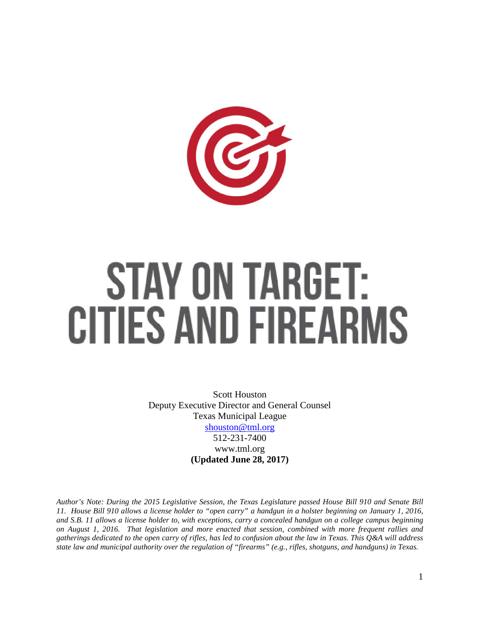

# **STAY ON TARGET: CITIES AND FIREARMS**

Scott Houston Deputy Executive Director and General Counsel Texas Municipal League [shouston@tml.org](mailto:shouston@tml.org) 512-231-7400 www.tml.org **(Updated June 28, 2017)**

*Author's Note: During the 2015 Legislative Session, the Texas Legislature passed House Bill 910 and Senate Bill 11. House Bill 910 allows a license holder to "open carry" a handgun in a holster beginning on January 1, 2016, and S.B. 11 allows a license holder to, with exceptions, carry a concealed handgun on a college campus beginning on August 1, 2016. That legislation and more enacted that session, combined with more frequent rallies and gatherings dedicated to the open carry of rifles, has led to confusion about the law in Texas. This Q&A will address state law and municipal authority over the regulation of "firearms" (e.g., rifles, shotguns, and handguns) in Texas.*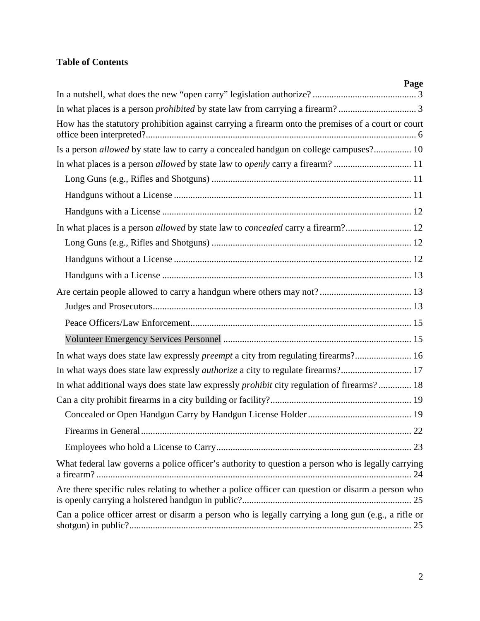# **Table of Contents**

| Page                                                                                                |
|-----------------------------------------------------------------------------------------------------|
|                                                                                                     |
|                                                                                                     |
| How has the statutory prohibition against carrying a firearm onto the premises of a court or court  |
| Is a person <i>allowed</i> by state law to carry a concealed handgun on college campuses? 10        |
|                                                                                                     |
|                                                                                                     |
|                                                                                                     |
|                                                                                                     |
| In what places is a person allowed by state law to concealed carry a firearm? 12                    |
|                                                                                                     |
|                                                                                                     |
|                                                                                                     |
|                                                                                                     |
|                                                                                                     |
|                                                                                                     |
|                                                                                                     |
| In what ways does state law expressly <i>preempt</i> a city from regulating firearms? 16            |
| In what ways does state law expressly <i>authorize</i> a city to regulate firearms? 17              |
| In what additional ways does state law expressly <i>prohibit</i> city regulation of firearms? 18    |
|                                                                                                     |
|                                                                                                     |
|                                                                                                     |
|                                                                                                     |
| What federal law governs a police officer's authority to question a person who is legally carrying  |
| Are there specific rules relating to whether a police officer can question or disarm a person who   |
| Can a police officer arrest or disarm a person who is legally carrying a long gun (e.g., a rifle or |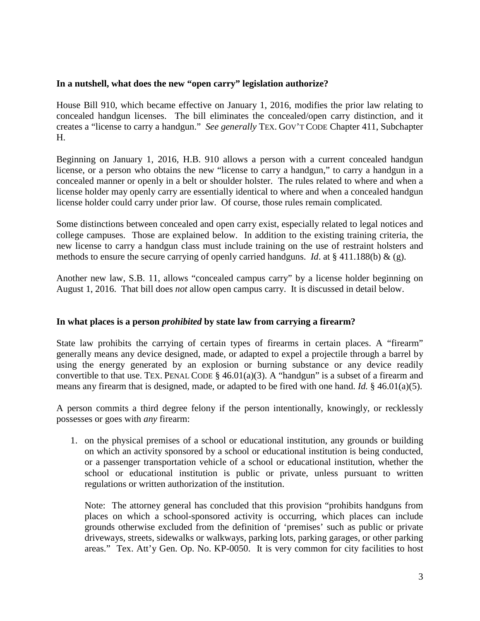# <span id="page-2-0"></span>**In a nutshell, what does the new "open carry" legislation authorize?**

House Bill 910, which became effective on January 1, 2016, modifies the prior law relating to concealed handgun licenses. The bill eliminates the concealed/open carry distinction, and it creates a "license to carry a handgun." *See generally* TEX. GOV'T CODE Chapter 411, Subchapter H.

Beginning on January 1, 2016, H.B. 910 allows a person with a current concealed handgun license, or a person who obtains the new "license to carry a handgun," to carry a handgun in a concealed manner or openly in a belt or shoulder holster. The rules related to where and when a license holder may openly carry are essentially identical to where and when a concealed handgun license holder could carry under prior law. Of course, those rules remain complicated.

Some distinctions between concealed and open carry exist, especially related to legal notices and college campuses. Those are explained below. In addition to the existing training criteria, the new license to carry a handgun class must include training on the use of restraint holsters and methods to ensure the secure carrying of openly carried handguns. *Id*. at § 411.188(b) & (g).

Another new law, S.B. 11, allows "concealed campus carry" by a license holder beginning on August 1, 2016. That bill does *not* allow open campus carry. It is discussed in detail below.

# <span id="page-2-1"></span>**In what places is a person** *prohibited* **by state law from carrying a firearm?**

State law prohibits the carrying of certain types of firearms in certain places. A "firearm" generally means any device designed, made, or adapted to expel a projectile through a barrel by using the energy generated by an explosion or burning substance or any device readily convertible to that use. TEX. PENAL CODE  $\S$  46.01(a)(3). A "handgun" is a subset of a firearm and means any firearm that is designed, made, or adapted to be fired with one hand. *Id.* § 46.01(a)(5).

A person commits a third degree felony if the person intentionally, knowingly, or recklessly possesses or goes with *any* firearm:

1. on the physical premises of a school or educational institution, any grounds or building on which an activity sponsored by a school or educational institution is being conducted, or a passenger transportation vehicle of a school or educational institution, whether the school or educational institution is public or private, unless pursuant to written regulations or written authorization of the institution.

Note: The attorney general has concluded that this provision "prohibits handguns from places on which a school-sponsored activity is occurring, which places can include grounds otherwise excluded from the definition of 'premises' such as public or private driveways, streets, sidewalks or walkways, parking lots, parking garages, or other parking areas." Tex. Att'y Gen. Op. No. KP-0050. It is very common for city facilities to host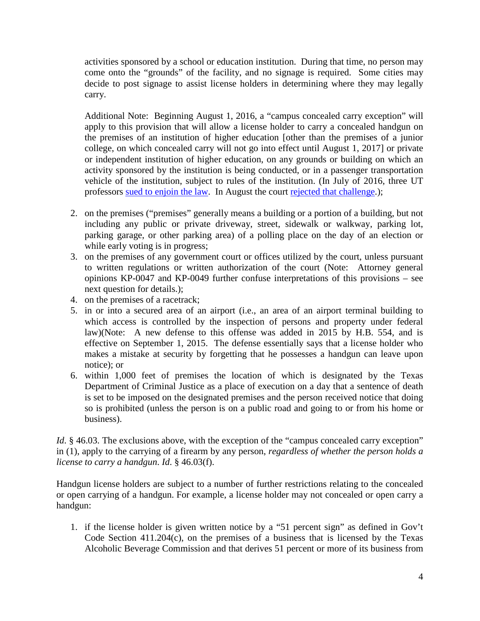activities sponsored by a school or education institution. During that time, no person may come onto the "grounds" of the facility, and no signage is required. Some cities may decide to post signage to assist license holders in determining where they may legally carry.

Additional Note: Beginning August 1, 2016, a "campus concealed carry exception" will apply to this provision that will allow a license holder to carry a concealed handgun on the premises of an institution of higher education [other than the premises of a junior college, on which concealed carry will not go into effect until August 1, 2017] or private or independent institution of higher education, on any grounds or building on which an activity sponsored by the institution is being conducted, or in a passenger transportation vehicle of the institution, subject to rules of the institution. (In July of 2016, three UT professors [sued to enjoin the law.](http://trib.it/29zpmjO) In August the court [rejected that challenge.](file://TML-DC01/USERS/Scott/SNH/memos%20&%20papers%20&%20Q&As/q%20and%20as/firearms/2016%20continued%20updates/Order%20Denying%20MPI));

- 2. on the premises ("premises" generally means a building or a portion of a building, but not including any public or private driveway, street, sidewalk or walkway, parking lot, parking garage, or other parking area) of a polling place on the day of an election or while early voting is in progress;
- 3. on the premises of any government court or offices utilized by the court, unless pursuant to written regulations or written authorization of the court (Note: Attorney general opinions KP-0047 and KP-0049 further confuse interpretations of this provisions – see next question for details.);
- 4. on the premises of a racetrack;
- 5. in or into a secured area of an airport (i.e., an area of an airport terminal building to which access is controlled by the inspection of persons and property under federal law)(Note: A new defense to this offense was added in 2015 by H.B. 554, and is effective on September 1, 2015. The defense essentially says that a license holder who makes a mistake at security by forgetting that he possesses a handgun can leave upon notice); or
- 6. within 1,000 feet of premises the location of which is designated by the Texas Department of Criminal Justice as a place of execution on a day that a sentence of death is set to be imposed on the designated premises and the person received notice that doing so is prohibited (unless the person is on a public road and going to or from his home or business).

*Id.* § 46.03. The exclusions above, with the exception of the "campus concealed carry exception" in (1), apply to the carrying of a firearm by any person, *regardless of whether the person holds a license to carry a handgun*. *Id*. § 46.03(f).

Handgun license holders are subject to a number of further restrictions relating to the concealed or open carrying of a handgun. For example, a license holder may not concealed or open carry a handgun:

1. if the license holder is given written notice by a "51 percent sign" as defined in Gov't Code Section 411.204(c), on the premises of a business that is licensed by the Texas Alcoholic Beverage Commission and that derives 51 percent or more of its business from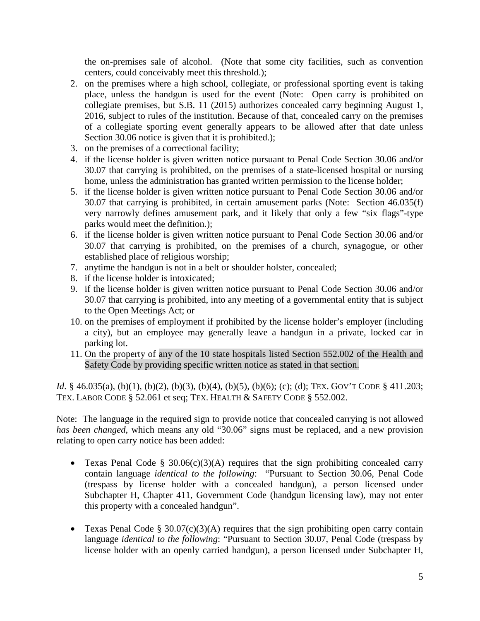the on-premises sale of alcohol. (Note that some city facilities, such as convention centers, could conceivably meet this threshold.);

- 2. on the premises where a high school, collegiate, or professional sporting event is taking place, unless the handgun is used for the event (Note: Open carry is prohibited on collegiate premises, but S.B. 11 (2015) authorizes concealed carry beginning August 1, 2016, subject to rules of the institution. Because of that, concealed carry on the premises of a collegiate sporting event generally appears to be allowed after that date unless Section 30.06 notice is given that it is prohibited.);
- 3. on the premises of a correctional facility;
- 4. if the license holder is given written notice pursuant to Penal Code Section 30.06 and/or 30.07 that carrying is prohibited, on the premises of a state-licensed hospital or nursing home, unless the administration has granted written permission to the license holder;
- 5. if the license holder is given written notice pursuant to Penal Code Section 30.06 and/or 30.07 that carrying is prohibited, in certain amusement parks (Note: Section 46.035(f) very narrowly defines amusement park, and it likely that only a few "six flags"-type parks would meet the definition.);
- 6. if the license holder is given written notice pursuant to Penal Code Section 30.06 and/or 30.07 that carrying is prohibited, on the premises of a church, synagogue, or other established place of religious worship;
- 7. anytime the handgun is not in a belt or shoulder holster, concealed;
- 8. if the license holder is intoxicated;
- 9. if the license holder is given written notice pursuant to Penal Code Section 30.06 and/or 30.07 that carrying is prohibited, into any meeting of a governmental entity that is subject to the Open Meetings Act; or
- 10. on the premises of employment if prohibited by the license holder's employer (including a city), but an employee may generally leave a handgun in a private, locked car in parking lot.
- 11. On the property of any of the 10 state hospitals listed Section 552.002 of the Health and Safety Code by providing specific written notice as stated in that section.

*Id.* § 46.035(a), (b)(1), (b)(2), (b)(3), (b)(4), (b)(5), (b)(6); (c); (d); TEX. GOV'T CODE § 411.203; TEX. LABOR CODE § 52.061 et seq; TEX. HEALTH & SAFETY CODE § 552.002.

Note: The language in the required sign to provide notice that concealed carrying is not allowed *has been changed*, which means any old "30.06" signs must be replaced, and a new provision relating to open carry notice has been added:

- Texas Penal Code § 30.06(c)(3)(A) requires that the sign prohibiting concealed carry contain language *identical to the following*: "Pursuant to Section 30.06, Penal Code (trespass by license holder with a concealed handgun), a person licensed under Subchapter H, Chapter 411, Government Code (handgun licensing law), may not enter this property with a concealed handgun".
- Texas Penal Code § 30.07(c)(3)(A) requires that the sign prohibiting open carry contain language *identical to the following*: "Pursuant to Section 30.07, Penal Code (trespass by license holder with an openly carried handgun), a person licensed under Subchapter H,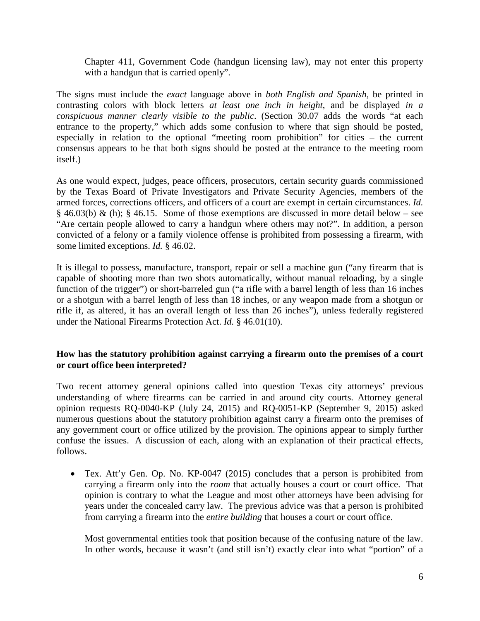Chapter 411, Government Code (handgun licensing law), may not enter this property with a handgun that is carried openly".

The signs must include the *exact* language above in *both English and Spanish,* be printed in contrasting colors with block letters *at least one inch in height*, and be displayed *in a conspicuous manner clearly visible to the public*. (Section 30.07 adds the words "at each entrance to the property," which adds some confusion to where that sign should be posted, especially in relation to the optional "meeting room prohibition" for cities – the current consensus appears to be that both signs should be posted at the entrance to the meeting room itself.)

As one would expect, judges, peace officers, prosecutors, certain security guards commissioned by the Texas Board of Private Investigators and Private Security Agencies, members of the armed forces, corrections officers, and officers of a court are exempt in certain circumstances. *Id.*  $§$  46.03(b) & (h); § 46.15. Some of those exemptions are discussed in more detail below – see "Are certain people allowed to carry a handgun where others may not?". In addition, a person convicted of a felony or a family violence offense is prohibited from possessing a firearm, with some limited exceptions. *Id.* § 46.02.

It is illegal to possess, manufacture, transport, repair or sell a machine gun ("any firearm that is capable of shooting more than two shots automatically, without manual reloading, by a single function of the trigger") or short-barreled gun ("a rifle with a barrel length of less than 16 inches or a shotgun with a barrel length of less than 18 inches, or any weapon made from a shotgun or rifle if, as altered, it has an overall length of less than 26 inches"), unless federally registered under the National Firearms Protection Act. *Id.* § 46.01(10).

# <span id="page-5-0"></span>**How has the statutory prohibition against carrying a firearm onto the premises of a court or court office been interpreted?**

Two recent attorney general opinions called into question Texas city attorneys' previous understanding of where firearms can be carried in and around city courts. Attorney general opinion requests RQ-0040-KP (July 24, 2015) and RQ-0051-KP (September 9, 2015) asked numerous questions about the statutory prohibition against carry a firearm onto the premises of any government court or office utilized by the provision. The opinions appear to simply further confuse the issues. A discussion of each, along with an explanation of their practical effects, follows.

• Tex. Att'y Gen. Op. No. KP-0047 (2015) concludes that a person is prohibited from carrying a firearm only into the *room* that actually houses a court or court office. That opinion is contrary to what the League and most other attorneys have been advising for years under the concealed carry law. The previous advice was that a person is prohibited from carrying a firearm into the *entire building* that houses a court or court office.

Most governmental entities took that position because of the confusing nature of the law. In other words, because it wasn't (and still isn't) exactly clear into what "portion" of a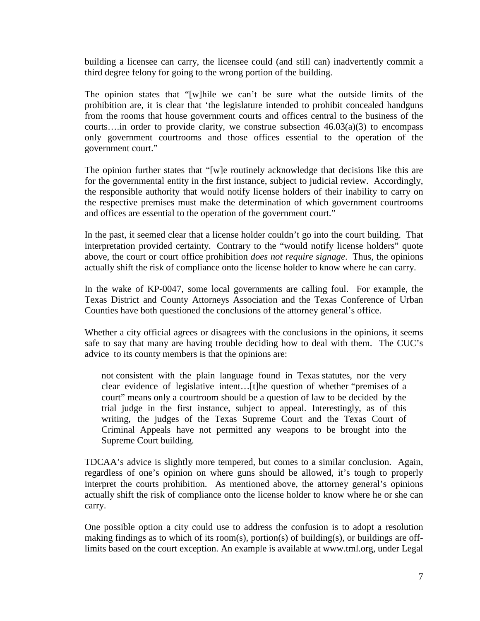building a licensee can carry, the licensee could (and still can) inadvertently commit a third degree felony for going to the wrong portion of the building.

The opinion states that "[w]hile we can't be sure what the outside limits of the prohibition are, it is clear that 'the legislature intended to prohibit concealed handguns from the rooms that house government courts and offices central to the business of the courts....in order to provide clarity, we construe subsection  $46.03(a)(3)$  to encompass only government courtrooms and those offices essential to the operation of the government court."

The opinion further states that "[w]e routinely acknowledge that decisions like this are for the governmental entity in the first instance, subject to judicial review. Accordingly, the responsible authority that would notify license holders of their inability to carry on the respective premises must make the determination of which government courtrooms and offices are essential to the operation of the government court."

In the past, it seemed clear that a license holder couldn't go into the court building. That interpretation provided certainty. Contrary to the "would notify license holders" quote above, the court or court office prohibition *does not require signage*. Thus, the opinions actually shift the risk of compliance onto the license holder to know where he can carry.

In the wake of KP-0047, some local governments are calling foul. For example, the Texas District and County Attorneys Association and the Texas Conference of Urban Counties have both questioned the conclusions of the attorney general's office.

Whether a city official agrees or disagrees with the conclusions in the opinions, it seems safe to say that many are having trouble deciding how to deal with them. The CUC's advice to its county members is that the opinions are:

not consistent with the plain language found in Texas statutes, nor the very clear evidence of legislative intent…[t]he question of whether "premises of a court" means only a courtroom should be a question of law to be decided by the trial judge in the first instance, subject to appeal. Interestingly, as of this writing, the judges of the Texas Supreme Court and the Texas Court of Criminal Appeals have not permitted any weapons to be brought into the Supreme Court building.

TDCAA's advice is slightly more tempered, but comes to a similar conclusion. Again, regardless of one's opinion on where guns should be allowed, it's tough to properly interpret the courts prohibition. As mentioned above, the attorney general's opinions actually shift the risk of compliance onto the license holder to know where he or she can carry.

One possible option a city could use to address the confusion is to adopt a resolution making findings as to which of its room(s), portion(s) of building(s), or buildings are offlimits based on the court exception. An example is available at www.tml.org, under Legal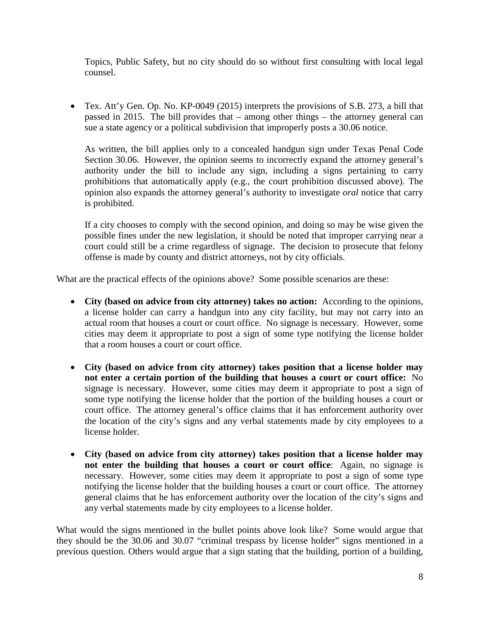Topics, Public Safety, but no city should do so without first consulting with local legal counsel.

• Tex. Att'y Gen. Op. No. KP-0049 (2015) interprets the provisions of S.B. 273, a bill that passed in 2015. The bill provides that – among other things – the attorney general can sue a state agency or a political subdivision that improperly posts a 30.06 notice.

As written, the bill applies only to a concealed handgun sign under Texas Penal Code Section 30.06. However, the opinion seems to incorrectly expand the attorney general's authority under the bill to include any sign, including a signs pertaining to carry prohibitions that automatically apply (e.g., the court prohibition discussed above). The opinion also expands the attorney general's authority to investigate *oral* notice that carry is prohibited.

If a city chooses to comply with the second opinion, and doing so may be wise given the possible fines under the new legislation, it should be noted that improper carrying near a court could still be a crime regardless of signage. The decision to prosecute that felony offense is made by county and district attorneys, not by city officials.

What are the practical effects of the opinions above? Some possible scenarios are these:

- **City (based on advice from city attorney) takes no action:** According to the opinions, a license holder can carry a handgun into any city facility, but may not carry into an actual room that houses a court or court office. No signage is necessary. However, some cities may deem it appropriate to post a sign of some type notifying the license holder that a room houses a court or court office.
- **City (based on advice from city attorney) takes position that a license holder may not enter a certain portion of the building that houses a court or court office:** No signage is necessary. However, some cities may deem it appropriate to post a sign of some type notifying the license holder that the portion of the building houses a court or court office. The attorney general's office claims that it has enforcement authority over the location of the city's signs and any verbal statements made by city employees to a license holder.
- **City (based on advice from city attorney) takes position that a license holder may not enter the building that houses a court or court office**: Again, no signage is necessary. However, some cities may deem it appropriate to post a sign of some type notifying the license holder that the building houses a court or court office. The attorney general claims that he has enforcement authority over the location of the city's signs and any verbal statements made by city employees to a license holder.

What would the signs mentioned in the bullet points above look like? Some would argue that they should be the 30.06 and 30.07 "criminal trespass by license holder" signs mentioned in a previous question. Others would argue that a sign stating that the building, portion of a building,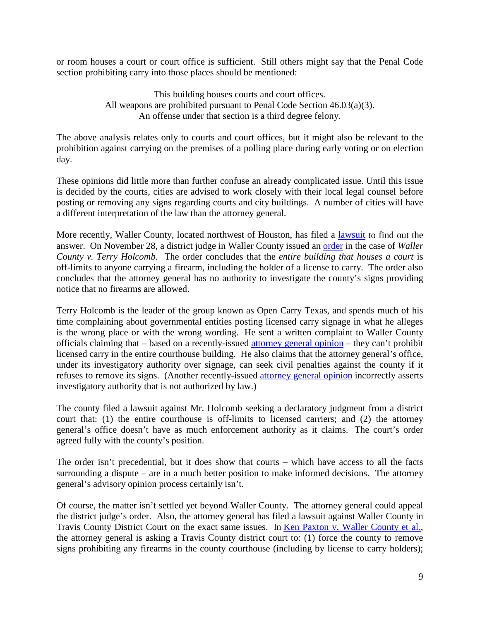or room houses a court or court office is sufficient. Still others might say that the Penal Code section prohibiting carry into those places should be mentioned:

> This building houses courts and court offices. All weapons are prohibited pursuant to Penal Code Section 46.03(a)(3). An offense under that section is a third degree felony.

The above analysis relates only to courts and court offices, but it might also be relevant to the prohibition against carrying on the premises of a polling place during early voting or on election day.

These opinions did little more than further confuse an already complicated issue. Until this issue is decided by the courts, cities are advised to work closely with their local legal counsel before posting or removing any signs regarding courts and city buildings. A number of cities will have a different interpretation of the law than the attorney general.

More recently, Waller County, located northwest of Houston, has filed a [lawsuit](http://www.tml.org/p/Declaratory%20Judgment%20with%20Exhibit_Waller%20County%20v%20Terry%20Holcomb%20Sr.pdf) to find out the answer. On November 28, a district judge in Waller County issued an [order](http://www.tml.org/p/ORDER%20ON%20PLAINTIFF) in the case of *Waller County v. Terry Holcomb*. The order concludes that the *entire building that houses a court* is off-limits to anyone carrying a firearm, including the holder of a license to carry. The order also concludes that the attorney general has no authority to investigate the county's signs providing notice that no firearms are allowed.

Terry Holcomb is the leader of the group known as Open Carry Texas, and spends much of his time complaining about governmental entities posting licensed carry signage in what he alleges is the wrong place or with the wrong wording. He sent a written complaint to Waller County officials claiming that – based on a recently-issued [attorney general opinion](https://www.texasattorneygeneral.gov/opinions/opinions/51paxton/op/2015/kp0047.pdf) – they can't prohibit licensed carry in the entire courthouse building. He also claims that the attorney general's office, under its investigatory authority over signage, can seek civil penalties against the county if it refuses to remove its signs. (Another recently-issued [attorney general opinion](https://www.texasattorneygeneral.gov/opinions/opinions/51paxton/op/2015/kp0049.pdf) incorrectly asserts investigatory authority that is not authorized by law.)

The county filed a lawsuit against Mr. Holcomb seeking a declaratory judgment from a district court that: (1) the entire courthouse is off-limits to licensed carriers; and (2) the attorney general's office doesn't have as much enforcement authority as it claims. The court's order agreed fully with the county's position.

The order isn't precedential, but it does show that courts – which have access to all the facts surrounding a dispute – are in a much better position to make informed decisions. The attorney general's advisory opinion process certainly isn't.

Of course, the matter isn't settled yet beyond Waller County. The attorney general could appeal the district judge's order. Also, the attorney general has filed a lawsuit against Waller County in Travis County District Court on the exact same issues. In [Ken Paxton v. Waller County et al.,](https://www.texasattorneygeneral.gov/files/epress/8-30_Relator.Plaintiffs_Original_Petition_for_Writ_of_Mandamus_and_Civil_Penalties.pdf?cachebuster%3A29=&utm_content=&utm_medium=email&utm_name=&utm_source=govdelivery&utm_term=) the attorney general is asking a Travis County district court to: (1) force the county to remove signs prohibiting any firearms in the county courthouse (including by license to carry holders);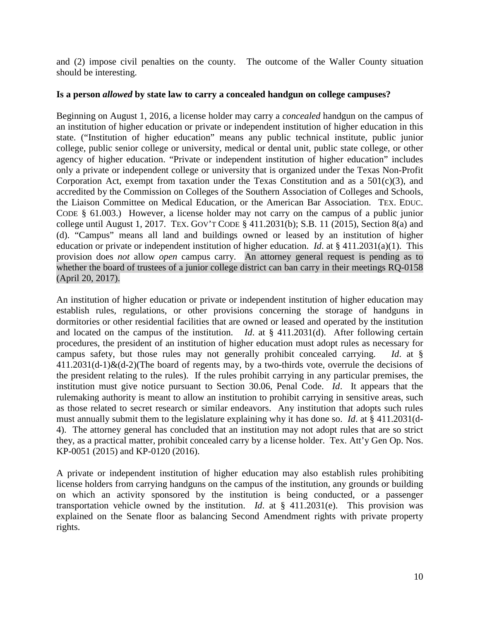and (2) impose civil penalties on the county. The outcome of the Waller County situation should be interesting.

## <span id="page-9-0"></span>**Is a person** *allowed* **by state law to carry a concealed handgun on college campuses?**

Beginning on August 1, 2016, a license holder may carry a *concealed* handgun on the campus of an institution of higher education or private or independent institution of higher education in this state. ("Institution of higher education" means any public technical institute, public junior college, public senior college or university, medical or dental unit, public state college, or other agency of higher education. "Private or independent institution of higher education" includes only a private or independent college or university that is organized under the Texas Non-Profit Corporation Act, exempt from taxation under the Texas Constitution and as a  $501(c)(3)$ , and accredited by the Commission on Colleges of the Southern Association of Colleges and Schools, the Liaison Committee on Medical Education, or the American Bar Association. TEX. EDUC. CODE § 61.003.) However, a license holder may not carry on the campus of a public junior college until August 1, 2017. TEX. GOV'T CODE § 411.2031(b); S.B. 11 (2015), Section 8(a) and (d). "Campus" means all land and buildings owned or leased by an institution of higher education or private or independent institution of higher education. *Id*. at § 411.2031(a)(1). This provision does *not* allow *open* campus carry. An attorney general request is pending as to whether the board of trustees of a junior college district can ban carry in their meetings RQ-0158 (April 20, 2017).

An institution of higher education or private or independent institution of higher education may establish rules, regulations, or other provisions concerning the storage of handguns in dormitories or other residential facilities that are owned or leased and operated by the institution and located on the campus of the institution. *Id*. at § 411.2031(d). After following certain procedures, the president of an institution of higher education must adopt rules as necessary for campus safety, but those rules may not generally prohibit concealed carrying. *Id*. at §  $411.2031(d-1)$ &(d-2)(The board of regents may, by a two-thirds vote, overrule the decisions of the president relating to the rules). If the rules prohibit carrying in any particular premises, the institution must give notice pursuant to Section 30.06, Penal Code. *Id*. It appears that the rulemaking authority is meant to allow an institution to prohibit carrying in sensitive areas, such as those related to secret research or similar endeavors. Any institution that adopts such rules must annually submit them to the legislature explaining why it has done so. *Id*. at § 411.2031(d-4). The attorney general has concluded that an institution may not adopt rules that are so strict they, as a practical matter, prohibit concealed carry by a license holder. Tex. Att'y Gen Op. Nos. KP-0051 (2015) and KP-0120 (2016).

A private or independent institution of higher education may also establish rules prohibiting license holders from carrying handguns on the campus of the institution, any grounds or building on which an activity sponsored by the institution is being conducted, or a passenger transportation vehicle owned by the institution. *Id*. at § 411.2031(e). This provision was explained on the Senate floor as balancing Second Amendment rights with private property rights.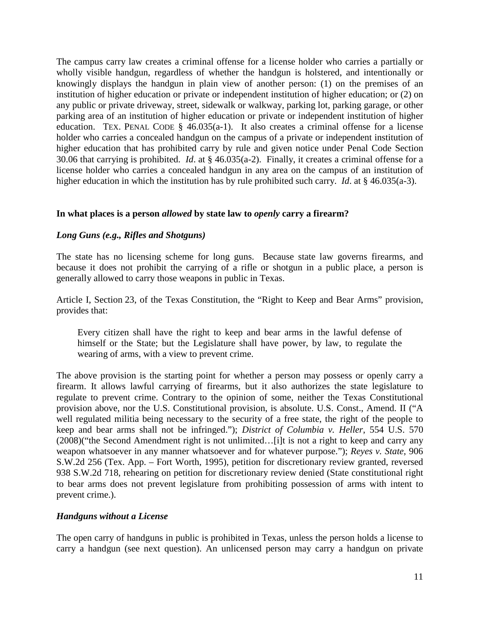The campus carry law creates a criminal offense for a license holder who carries a partially or wholly visible handgun, regardless of whether the handgun is holstered, and intentionally or knowingly displays the handgun in plain view of another person: (1) on the premises of an institution of higher education or private or independent institution of higher education; or (2) on any public or private driveway, street, sidewalk or walkway, parking lot, parking garage, or other parking area of an institution of higher education or private or independent institution of higher education. TEX. PENAL CODE §  $46.035(a-1)$ . It also creates a criminal offense for a license holder who carries a concealed handgun on the campus of a private or independent institution of higher education that has prohibited carry by rule and given notice under Penal Code Section 30.06 that carrying is prohibited. *Id*. at § 46.035(a-2). Finally, it creates a criminal offense for a license holder who carries a concealed handgun in any area on the campus of an institution of higher education in which the institution has by rule prohibited such carry. *Id*. at § 46.035(a-3).

# <span id="page-10-0"></span>**In what places is a person** *allowed* **by state law to** *openly* **carry a firearm?**

# <span id="page-10-1"></span>*Long Guns (e.g., Rifles and Shotguns)*

The state has no licensing scheme for long guns. Because state law governs firearms, and because it does not prohibit the carrying of a rifle or shotgun in a public place, a person is generally allowed to carry those weapons in public in Texas.

Article I, Section 23, of the Texas Constitution, the "Right to Keep and Bear Arms" provision, provides that:

Every citizen shall have the right to keep and bear arms in the lawful defense of himself or the State; but the Legislature shall have power, by law, to regulate the wearing of arms, with a view to prevent crime.

The above provision is the starting point for whether a person may possess or openly carry a firearm. It allows lawful carrying of firearms, but it also authorizes the state legislature to regulate to prevent crime. Contrary to the opinion of some, neither the Texas Constitutional provision above, nor the U.S. Constitutional provision, is absolute. U.S. Const., Amend. II ("A well regulated militia being necessary to the security of a free state, the right of the people to keep and bear arms shall not be infringed."); *District of Columbia v. Heller*, 554 U.S. 570 (2008)("the Second Amendment right is not unlimited…[i]t is not a right to keep and carry any weapon whatsoever in any manner whatsoever and for whatever purpose."); *Reyes v. State*, 906 S.W.2d 256 (Tex. App. – Fort Worth, 1995), petition for discretionary review granted, reversed 938 S.W.2d 718, rehearing on petition for discretionary review denied (State constitutional right to bear arms does not prevent legislature from prohibiting possession of arms with intent to prevent crime.).

## <span id="page-10-2"></span>*Handguns without a License*

The open carry of handguns in public is prohibited in Texas, unless the person holds a license to carry a handgun (see next question). An unlicensed person may carry a handgun on private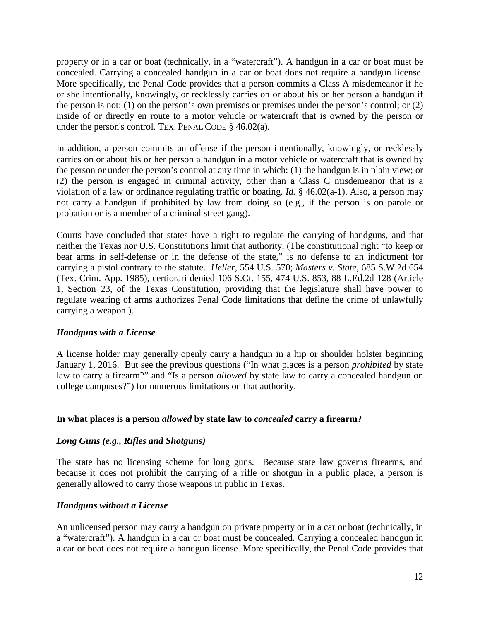property or in a car or boat (technically, in a "watercraft"). A handgun in a car or boat must be concealed. Carrying a concealed handgun in a car or boat does not require a handgun license. More specifically, the Penal Code provides that a person commits a Class A misdemeanor if he or she intentionally, knowingly, or recklessly carries on or about his or her person a handgun if the person is not: (1) on the person's own premises or premises under the person's control; or (2) inside of or directly en route to a motor vehicle or watercraft that is owned by the person or under the person's control. TEX. PENAL CODE § 46.02(a).

In addition, a person commits an offense if the person intentionally, knowingly, or recklessly carries on or about his or her person a handgun in a motor vehicle or watercraft that is owned by the person or under the person's control at any time in which: (1) the handgun is in plain view; or (2) the person is engaged in criminal activity, other than a Class C misdemeanor that is a violation of a law or ordinance regulating traffic or boating. *Id.* § 46.02(a-1). Also, a person may not carry a handgun if prohibited by law from doing so (e.g., if the person is on parole or probation or is a member of a criminal street gang).

Courts have concluded that states have a right to regulate the carrying of handguns, and that neither the Texas nor U.S. Constitutions limit that authority. (The constitutional right "to keep or bear arms in self-defense or in the defense of the state," is no defense to an indictment for carrying a pistol contrary to the statute. *Heller*, 554 U.S. 570; *Masters v. State,* 685 S.W.2d 654 (Tex. Crim. App. 1985), certiorari denied 106 S.Ct. 155, 474 U.S. 853, 88 L.Ed.2d 128 (Article 1, Section 23, of the Texas Constitution, providing that the legislature shall have power to regulate wearing of arms authorizes Penal Code limitations that define the crime of unlawfully carrying a weapon.).

## <span id="page-11-0"></span>*Handguns with a License*

A license holder may generally openly carry a handgun in a hip or shoulder holster beginning January 1, 2016. But see the previous questions ("In what places is a person *prohibited* by state law to carry a firearm?" and "Is a person *allowed* by state law to carry a concealed handgun on college campuses?") for numerous limitations on that authority.

## <span id="page-11-1"></span>**In what places is a person** *allowed* **by state law to** *concealed* **carry a firearm?**

## <span id="page-11-2"></span>*Long Guns (e.g., Rifles and Shotguns)*

The state has no licensing scheme for long guns. Because state law governs firearms, and because it does not prohibit the carrying of a rifle or shotgun in a public place, a person is generally allowed to carry those weapons in public in Texas.

## <span id="page-11-3"></span>*Handguns without a License*

An unlicensed person may carry a handgun on private property or in a car or boat (technically, in a "watercraft"). A handgun in a car or boat must be concealed. Carrying a concealed handgun in a car or boat does not require a handgun license. More specifically, the Penal Code provides that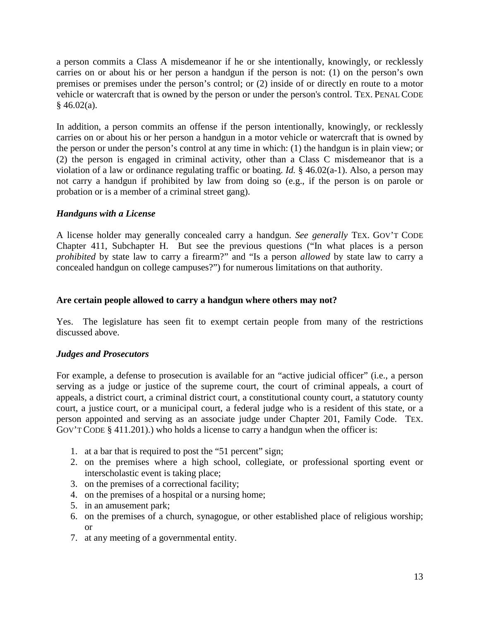a person commits a Class A misdemeanor if he or she intentionally, knowingly, or recklessly carries on or about his or her person a handgun if the person is not: (1) on the person's own premises or premises under the person's control; or (2) inside of or directly en route to a motor vehicle or watercraft that is owned by the person or under the person's control. TEX. PENAL CODE  $§$  46.02(a).

In addition, a person commits an offense if the person intentionally, knowingly, or recklessly carries on or about his or her person a handgun in a motor vehicle or watercraft that is owned by the person or under the person's control at any time in which: (1) the handgun is in plain view; or (2) the person is engaged in criminal activity, other than a Class C misdemeanor that is a violation of a law or ordinance regulating traffic or boating. *Id.* § 46.02(a-1). Also, a person may not carry a handgun if prohibited by law from doing so (e.g., if the person is on parole or probation or is a member of a criminal street gang).

# <span id="page-12-0"></span>*Handguns with a License*

A license holder may generally concealed carry a handgun. *See generally* TEX. GOV'T CODE Chapter 411, Subchapter H. But see the previous questions ("In what places is a person *prohibited* by state law to carry a firearm?" and "Is a person *allowed* by state law to carry a concealed handgun on college campuses?") for numerous limitations on that authority.

# <span id="page-12-1"></span>**Are certain people allowed to carry a handgun where others may not?**

Yes. The legislature has seen fit to exempt certain people from many of the restrictions discussed above.

# <span id="page-12-2"></span>*Judges and Prosecutors*

For example, a defense to prosecution is available for an "active judicial officer" (i.e., a person serving as a judge or justice of the supreme court, the court of criminal appeals, a court of appeals, a district court, a criminal district court, a constitutional county court, a statutory county court, a justice court, or a municipal court, a federal judge who is a resident of this state, or a person appointed and serving as an associate judge under Chapter 201, Family Code. TEX. GOV'T CODE § 411.201).) who holds a license to carry a handgun when the officer is:

- 1. at a bar that is required to post the "51 percent" sign;
- 2. on the premises where a high school, collegiate, or professional sporting event or interscholastic event is taking place;
- 3. on the premises of a correctional facility;
- 4. on the premises of a hospital or a nursing home;
- 5. in an amusement park;
- 6. on the premises of a church, synagogue, or other established place of religious worship; or
- 7. at any meeting of a governmental entity.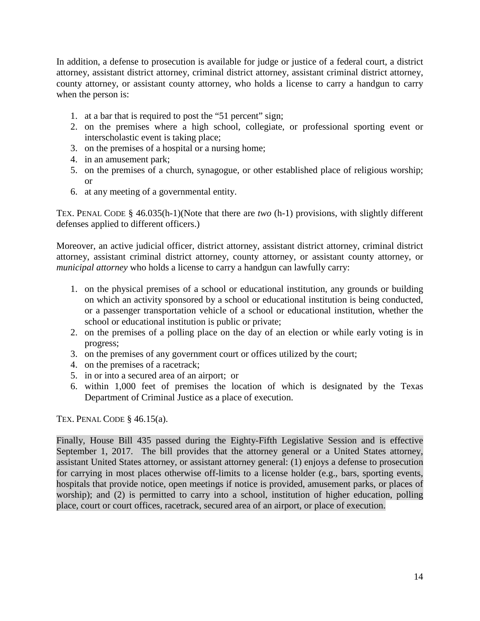In addition, a defense to prosecution is available for judge or justice of a federal court, a district attorney, assistant district attorney, criminal district attorney, assistant criminal district attorney, county attorney, or assistant county attorney, who holds a license to carry a handgun to carry when the person is:

- 1. at a bar that is required to post the "51 percent" sign;
- 2. on the premises where a high school, collegiate, or professional sporting event or interscholastic event is taking place;
- 3. on the premises of a hospital or a nursing home;
- 4. in an amusement park;
- 5. on the premises of a church, synagogue, or other established place of religious worship; or
- 6. at any meeting of a governmental entity.

TEX. PENAL CODE § 46.035(h-1)(Note that there are *two* (h-1) provisions, with slightly different defenses applied to different officers.)

Moreover, an active judicial officer, district attorney, assistant district attorney, criminal district attorney, assistant criminal district attorney, county attorney, or assistant county attorney, or *municipal attorney* who holds a license to carry a handgun can lawfully carry:

- 1. on the physical premises of a school or educational institution, any grounds or building on which an activity sponsored by a school or educational institution is being conducted, or a passenger transportation vehicle of a school or educational institution, whether the school or educational institution is public or private;
- 2. on the premises of a polling place on the day of an election or while early voting is in progress;
- 3. on the premises of any government court or offices utilized by the court;
- 4. on the premises of a racetrack;
- 5. in or into a secured area of an airport; or
- 6. within 1,000 feet of premises the location of which is designated by the Texas Department of Criminal Justice as a place of execution.

TEX. PENAL CODE  $§$  46.15(a).

Finally, House Bill 435 passed during the Eighty-Fifth Legislative Session and is effective September 1, 2017. The bill provides that the attorney general or a United States attorney, assistant United States attorney, or assistant attorney general: (1) enjoys a defense to prosecution for carrying in most places otherwise off-limits to a license holder (e.g., bars, sporting events, hospitals that provide notice, open meetings if notice is provided, amusement parks, or places of worship); and (2) is permitted to carry into a school, institution of higher education, polling place, court or court offices, racetrack, secured area of an airport, or place of execution.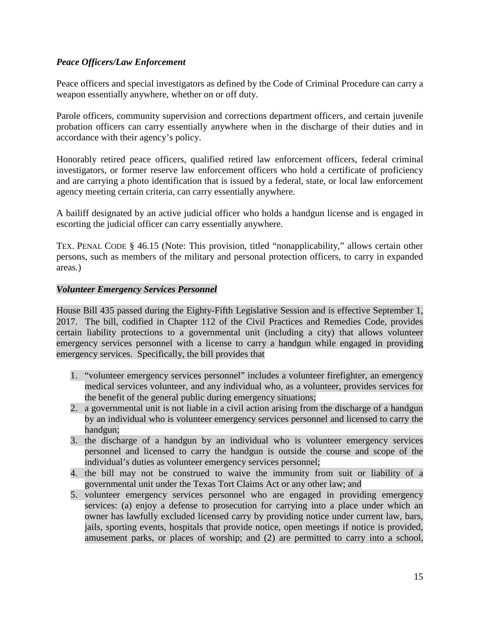# <span id="page-14-0"></span>*Peace Officers/Law Enforcement*

Peace officers and special investigators as defined by the Code of Criminal Procedure can carry a weapon essentially anywhere, whether on or off duty.

Parole officers, community supervision and corrections department officers, and certain juvenile probation officers can carry essentially anywhere when in the discharge of their duties and in accordance with their agency's policy.

Honorably retired peace officers, qualified retired law enforcement officers, federal criminal investigators, or former reserve law enforcement officers who hold a certificate of proficiency and are carrying a photo identification that is issued by a federal, state, or local law enforcement agency meeting certain criteria, can carry essentially anywhere.

A bailiff designated by an active judicial officer who holds a handgun license and is engaged in escorting the judicial officer can carry essentially anywhere.

TEX. PENAL CODE § 46.15 (Note: This provision, titled "nonapplicability," allows certain other persons, such as members of the military and personal protection officers, to carry in expanded areas.)

# <span id="page-14-1"></span>*Volunteer Emergency Services Personnel*

House Bill 435 passed during the Eighty-Fifth Legislative Session and is effective September 1, 2017. The bill, codified in Chapter 112 of the Civil Practices and Remedies Code, provides certain liability protections to a governmental unit (including a city) that allows volunteer emergency services personnel with a license to carry a handgun while engaged in providing emergency services. Specifically, the bill provides that

- 1. "volunteer emergency services personnel" includes a volunteer firefighter, an emergency medical services volunteer, and any individual who, as a volunteer, provides services for the benefit of the general public during emergency situations;
- 2. a governmental unit is not liable in a civil action arising from the discharge of a handgun by an individual who is volunteer emergency services personnel and licensed to carry the handgun;
- 3. the discharge of a handgun by an individual who is volunteer emergency services personnel and licensed to carry the handgun is outside the course and scope of the individual's duties as volunteer emergency services personnel;
- 4. the bill may not be construed to waive the immunity from suit or liability of a governmental unit under the Texas Tort Claims Act or any other law; and
- 5. volunteer emergency services personnel who are engaged in providing emergency services: (a) enjoy a defense to prosecution for carrying into a place under which an owner has lawfully excluded licensed carry by providing notice under current law, bars, jails, sporting events, hospitals that provide notice, open meetings if notice is provided, amusement parks, or places of worship; and (2) are permitted to carry into a school,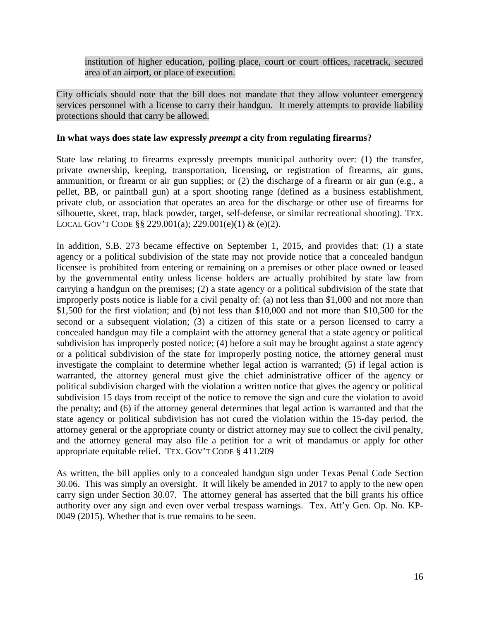institution of higher education, polling place, court or court offices, racetrack, secured area of an airport, or place of execution.

City officials should note that the bill does not mandate that they allow volunteer emergency services personnel with a license to carry their handgun. It merely attempts to provide liability protections should that carry be allowed.

# <span id="page-15-0"></span>**In what ways does state law expressly** *preempt* **a city from regulating firearms?**

State law relating to firearms expressly preempts municipal authority over: (1) the transfer, private ownership, keeping, transportation, licensing, or registration of firearms, air guns, ammunition, or firearm or air gun supplies; or (2) the discharge of a firearm or air gun (e.g., a pellet, BB, or paintball gun) at a sport shooting range (defined as a business establishment, private club, or association that operates an area for the discharge or other use of firearms for silhouette, skeet, trap, black powder, target, self-defense, or similar recreational shooting). TEX. LOCAL GOV'T CODE §§ 229.001(a); 229.001(e)(1) & (e)(2).

In addition, S.B. 273 became effective on September 1, 2015, and provides that: (1) a state agency or a political subdivision of the state may not provide notice that a concealed handgun licensee is prohibited from entering or remaining on a premises or other place owned or leased by the governmental entity unless license holders are actually prohibited by state law from carrying a handgun on the premises; (2) a state agency or a political subdivision of the state that improperly posts notice is liable for a civil penalty of: (a) not less than \$1,000 and not more than \$1,500 for the first violation; and (b) not less than \$10,000 and not more than \$10,500 for the second or a subsequent violation; (3) a citizen of this state or a person licensed to carry a concealed handgun may file a complaint with the attorney general that a state agency or political subdivision has improperly posted notice; (4) before a suit may be brought against a state agency or a political subdivision of the state for improperly posting notice, the attorney general must investigate the complaint to determine whether legal action is warranted; (5) if legal action is warranted, the attorney general must give the chief administrative officer of the agency or political subdivision charged with the violation a written notice that gives the agency or political subdivision 15 days from receipt of the notice to remove the sign and cure the violation to avoid the penalty; and (6) if the attorney general determines that legal action is warranted and that the state agency or political subdivision has not cured the violation within the 15-day period, the attorney general or the appropriate county or district attorney may sue to collect the civil penalty, and the attorney general may also file a petition for a writ of mandamus or apply for other appropriate equitable relief. TEX. GOV'T CODE § 411.209

<span id="page-15-1"></span>As written, the bill applies only to a concealed handgun sign under Texas Penal Code Section 30.06. This was simply an oversight. It will likely be amended in 2017 to apply to the new open carry sign under Section 30.07. The attorney general has asserted that the bill grants his office authority over any sign and even over verbal trespass warnings. Tex. Att'y Gen. Op. No. KP-0049 (2015). Whether that is true remains to be seen.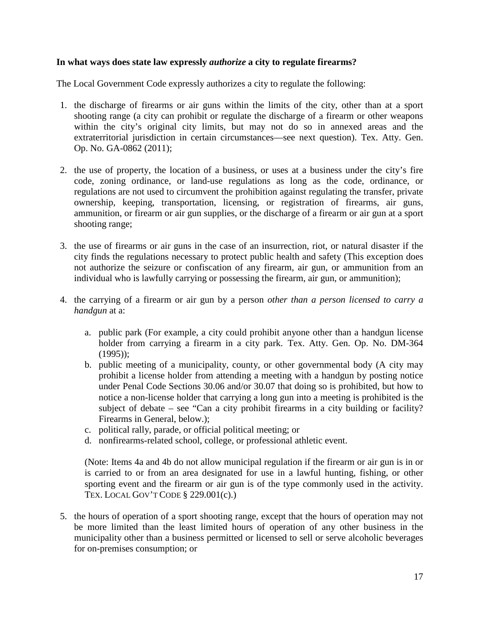# **In what ways does state law expressly** *authorize* **a city to regulate firearms?**

The Local Government Code expressly authorizes a city to regulate the following:

- 1. the discharge of firearms or air guns within the limits of the city, other than at a sport shooting range (a city can prohibit or regulate the discharge of a firearm or other weapons within the city's original city limits, but may not do so in annexed areas and the extraterritorial jurisdiction in certain circumstances—see next question). Tex. Atty. Gen. Op. No. GA-0862 (2011);
- 2. the use of property, the location of a business, or uses at a business under the city's fire code, zoning ordinance, or land-use regulations as long as the code, ordinance, or regulations are not used to circumvent the prohibition against regulating the transfer, private ownership, keeping, transportation, licensing, or registration of firearms, air guns, ammunition, or firearm or air gun supplies, or the discharge of a firearm or air gun at a sport shooting range;
- 3. the use of firearms or air guns in the case of an insurrection, riot, or natural disaster if the city finds the regulations necessary to protect public health and safety (This exception does not authorize the seizure or confiscation of any firearm, air gun, or ammunition from an individual who is lawfully carrying or possessing the firearm, air gun, or ammunition);
- 4. the carrying of a firearm or air gun by a person *other than a person licensed to carry a handgun* at a:
	- a. public park (For example, a city could prohibit anyone other than a handgun license holder from carrying a firearm in a city park. Tex. Atty. Gen. Op. No. DM-364 (1995));
	- b. public meeting of a municipality, county, or other governmental body (A city may prohibit a license holder from attending a meeting with a handgun by posting notice under Penal Code Sections 30.06 and/or 30.07 that doing so is prohibited, but how to notice a non-license holder that carrying a long gun into a meeting is prohibited is the subject of debate – see "Can a city prohibit firearms in a city building or facility? Firearms in General, below.);
	- c. political rally, parade, or official political meeting; or
	- d. nonfirearms-related school, college, or professional athletic event.

(Note: Items 4a and 4b do not allow municipal regulation if the firearm or air gun is in or is carried to or from an area designated for use in a lawful hunting, fishing, or other sporting event and the firearm or air gun is of the type commonly used in the activity. TEX. LOCAL GOV'T CODE § 229.001(c).)

5. the hours of operation of a sport shooting range, except that the hours of operation may not be more limited than the least limited hours of operation of any other business in the municipality other than a business permitted or licensed to sell or serve alcoholic beverages for on-premises consumption; or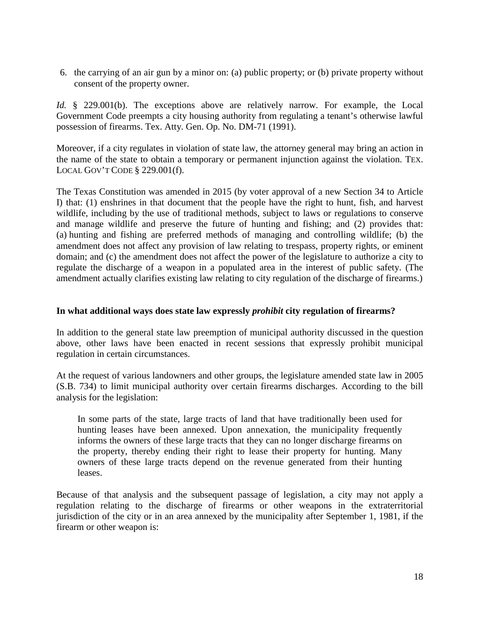6. the carrying of an air gun by a minor on: (a) public property; or (b) private property without consent of the property owner.

*Id.* § 229.001(b). The exceptions above are relatively narrow. For example, the Local Government Code preempts a city housing authority from regulating a tenant's otherwise lawful possession of firearms. Tex. Atty. Gen. Op. No. DM-71 (1991).

Moreover, if a city regulates in violation of state law, the attorney general may bring an action in the name of the state to obtain a temporary or permanent injunction against the violation. TEX. LOCAL GOV'T CODE § 229.001(f).

The Texas Constitution was amended in 2015 (by voter approval of a new Section 34 to Article I) that: (1) enshrines in that document that the people have the right to hunt, fish, and harvest wildlife, including by the use of traditional methods, subject to laws or regulations to conserve and manage wildlife and preserve the future of hunting and fishing; and (2) provides that: (a) hunting and fishing are preferred methods of managing and controlling wildlife; (b) the amendment does not affect any provision of law relating to trespass, property rights, or eminent domain; and (c) the amendment does not affect the power of the legislature to authorize a city to regulate the discharge of a weapon in a populated area in the interest of public safety. (The amendment actually clarifies existing law relating to city regulation of the discharge of firearms.)

## <span id="page-17-0"></span>**In what additional ways does state law expressly** *prohibit* **city regulation of firearms?**

In addition to the general state law preemption of municipal authority discussed in the question above, other laws have been enacted in recent sessions that expressly prohibit municipal regulation in certain circumstances.

At the request of various landowners and other groups, the legislature amended state law in 2005 (S.B. 734) to limit municipal authority over certain firearms discharges. According to the bill analysis for the legislation:

In some parts of the state, large tracts of land that have traditionally been used for hunting leases have been annexed. Upon annexation, the municipality frequently informs the owners of these large tracts that they can no longer discharge firearms on the property, thereby ending their right to lease their property for hunting. Many owners of these large tracts depend on the revenue generated from their hunting leases.

Because of that analysis and the subsequent passage of legislation, a city may not apply a regulation relating to the discharge of firearms or other weapons in the extraterritorial jurisdiction of the city or in an area annexed by the municipality after September 1, 1981, if the firearm or other weapon is: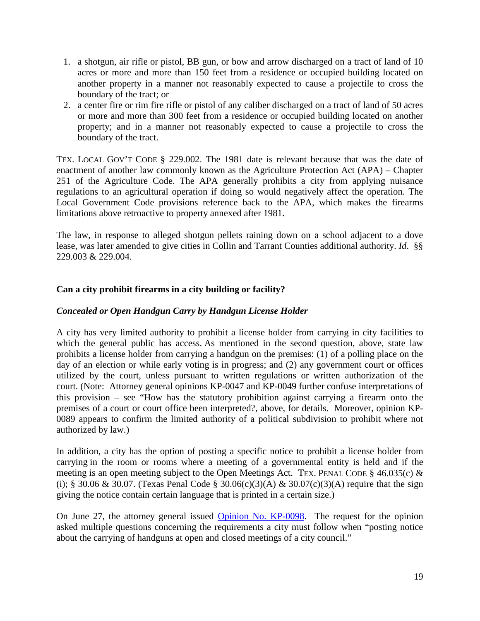- 1. a shotgun, air rifle or pistol, BB gun, or bow and arrow discharged on a tract of land of 10 acres or more and more than 150 feet from a residence or occupied building located on another property in a manner not reasonably expected to cause a projectile to cross the boundary of the tract; or
- 2. a center fire or rim fire rifle or pistol of any caliber discharged on a tract of land of 50 acres or more and more than 300 feet from a residence or occupied building located on another property; and in a manner not reasonably expected to cause a projectile to cross the boundary of the tract.

TEX. LOCAL GOV'T CODE § 229.002. The 1981 date is relevant because that was the date of enactment of another law commonly known as the Agriculture Protection Act (APA) – Chapter 251 of the Agriculture Code. The APA generally prohibits a city from applying nuisance regulations to an agricultural operation if doing so would negatively affect the operation. The Local Government Code provisions reference back to the APA, which makes the firearms limitations above retroactive to property annexed after 1981.

The law, in response to alleged shotgun pellets raining down on a school adjacent to a dove lease, was later amended to give cities in Collin and Tarrant Counties additional authority. *Id*. §§ 229.003 & 229.004.

# <span id="page-18-0"></span>**Can a city prohibit firearms in a city building or facility?**

# <span id="page-18-1"></span>*Concealed or Open Handgun Carry by Handgun License Holder*

A city has very limited authority to prohibit a license holder from carrying in city facilities to which the general public has access. As mentioned in the second question, above, state law prohibits a license holder from carrying a handgun on the premises: (1) of a polling place on the day of an election or while early voting is in progress; and (2) any government court or offices utilized by the court, unless pursuant to written regulations or written authorization of the court. (Note: Attorney general opinions KP-0047 and KP-0049 further confuse interpretations of this provision – see "How has the statutory prohibition against carrying a firearm onto the premises of a court or court office been interpreted?, above, for details. Moreover, opinion KP-0089 appears to confirm the limited authority of a political subdivision to prohibit where not authorized by law.)

In addition, a city has the option of posting a specific notice to prohibit a license holder from carrying in the room or rooms where a meeting of a governmental entity is held and if the meeting is an open meeting subject to the Open Meetings Act. TEX. PENAL CODE § 46.035(c) & (i); § 30.06 & 30.07. (Texas Penal Code § 30.06(c)(3)(A) & 30.07(c)(3)(A) require that the sign giving the notice contain certain language that is printed in a certain size.)

On June 27, the attorney general issued [Opinion No. KP-0098.](https://texasattorneygeneral.gov/opinions/opinions/51paxton/op/2016/kp0098.pdf) The request for the opinion asked multiple questions concerning the requirements a city must follow when "posting notice about the carrying of handguns at open and closed meetings of a city council."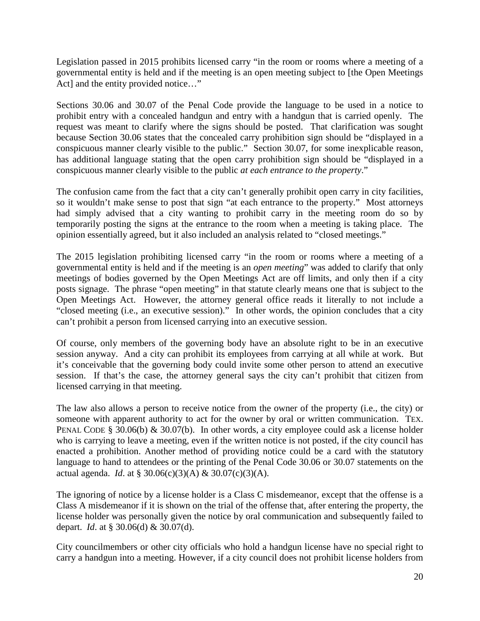Legislation passed in 2015 prohibits licensed carry "in the room or rooms where a meeting of a governmental entity is held and if the meeting is an open meeting subject to [the Open Meetings Act] and the entity provided notice..."

Sections 30.06 and 30.07 of the Penal Code provide the language to be used in a notice to prohibit entry with a concealed handgun and entry with a handgun that is carried openly. The request was meant to clarify where the signs should be posted. That clarification was sought because Section 30.06 states that the concealed carry prohibition sign should be "displayed in a conspicuous manner clearly visible to the public." Section 30.07, for some inexplicable reason, has additional language stating that the open carry prohibition sign should be "displayed in a conspicuous manner clearly visible to the public *at each entrance to the property*."

The confusion came from the fact that a city can't generally prohibit open carry in city facilities, so it wouldn't make sense to post that sign "at each entrance to the property." Most attorneys had simply advised that a city wanting to prohibit carry in the meeting room do so by temporarily posting the signs at the entrance to the room when a meeting is taking place. The opinion essentially agreed, but it also included an analysis related to "closed meetings."

The 2015 legislation prohibiting licensed carry "in the room or rooms where a meeting of a governmental entity is held and if the meeting is an *open meeting*" was added to clarify that only meetings of bodies governed by the Open Meetings Act are off limits, and only then if a city posts signage. The phrase "open meeting" in that statute clearly means one that is subject to the Open Meetings Act. However, the attorney general office reads it literally to not include a "closed meeting (i.e., an executive session)." In other words, the opinion concludes that a city can't prohibit a person from licensed carrying into an executive session.

Of course, only members of the governing body have an absolute right to be in an executive session anyway. And a city can prohibit its employees from carrying at all while at work. But it's conceivable that the governing body could invite some other person to attend an executive session. If that's the case, the attorney general says the city can't prohibit that citizen from licensed carrying in that meeting.

The law also allows a person to receive notice from the owner of the property (i.e., the city) or someone with apparent authority to act for the owner by oral or written communication. TEX. PENAL CODE § 30.06(b) & 30.07(b). In other words, a city employee could ask a license holder who is carrying to leave a meeting, even if the written notice is not posted, if the city council has enacted a prohibition. Another method of providing notice could be a card with the statutory language to hand to attendees or the printing of the Penal Code 30.06 or 30.07 statements on the actual agenda. *Id*. at § 30.06(c)(3)(A) & 30.07(c)(3)(A).

The ignoring of notice by a license holder is a Class C misdemeanor, except that the offense is a Class A misdemeanor if it is shown on the trial of the offense that, after entering the property, the license holder was personally given the notice by oral communication and subsequently failed to depart. *Id*. at § 30.06(d) & 30.07(d).

City councilmembers or other city officials who hold a handgun license have no special right to carry a handgun into a meeting. However, if a city council does not prohibit license holders from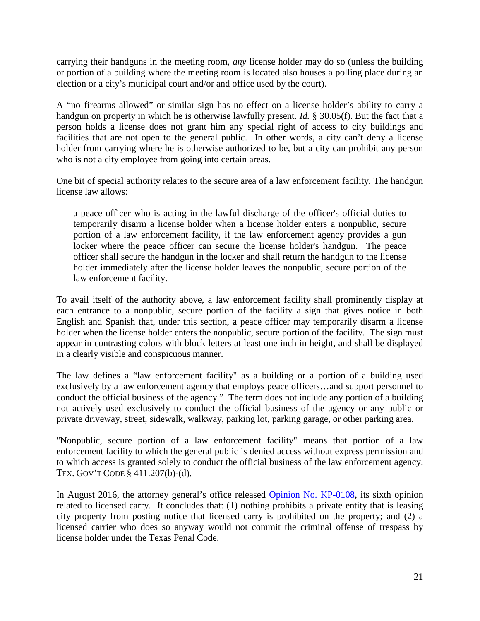carrying their handguns in the meeting room, *any* license holder may do so (unless the building or portion of a building where the meeting room is located also houses a polling place during an election or a city's municipal court and/or and office used by the court).

A "no firearms allowed" or similar sign has no effect on a license holder's ability to carry a handgun on property in which he is otherwise lawfully present. *Id.* § 30.05(f). But the fact that a person holds a license does not grant him any special right of access to city buildings and facilities that are not open to the general public. In other words, a city can't deny a license holder from carrying where he is otherwise authorized to be, but a city can prohibit any person who is not a city employee from going into certain areas.

One bit of special authority relates to the secure area of a law enforcement facility. The handgun license law allows:

a peace officer who is acting in the lawful discharge of the officer's official duties to temporarily disarm a license holder when a license holder enters a nonpublic, secure portion of a law enforcement facility, if the law enforcement agency provides a gun locker where the peace officer can secure the license holder's handgun. The peace officer shall secure the handgun in the locker and shall return the handgun to the license holder immediately after the license holder leaves the nonpublic, secure portion of the law enforcement facility.

To avail itself of the authority above, a law enforcement facility shall prominently display at each entrance to a nonpublic, secure portion of the facility a sign that gives notice in both English and Spanish that, under this section, a peace officer may temporarily disarm a license holder when the license holder enters the nonpublic, secure portion of the facility. The sign must appear in contrasting colors with block letters at least one inch in height, and shall be displayed in a clearly visible and conspicuous manner.

The law defines a "law enforcement facility" as a building or a portion of a building used exclusively by a law enforcement agency that employs peace officers…and support personnel to conduct the official business of the agency." The term does not include any portion of a building not actively used exclusively to conduct the official business of the agency or any public or private driveway, street, sidewalk, walkway, parking lot, parking garage, or other parking area.

"Nonpublic, secure portion of a law enforcement facility" means that portion of a law enforcement facility to which the general public is denied access without express permission and to which access is granted solely to conduct the official business of the law enforcement agency. TEX. GOV'T CODE § 411.207(b)-(d).

In August 2016, the attorney general's office released [Opinion No. KP-0108,](https://texasattorneygeneral.gov/opinions/opinions/51paxton/op/2016/kp0108.pdf) its sixth opinion related to licensed carry. It concludes that: (1) nothing prohibits a private entity that is leasing city property from posting notice that licensed carry is prohibited on the property; and (2) a licensed carrier who does so anyway would not commit the criminal offense of trespass by license holder under the Texas Penal Code.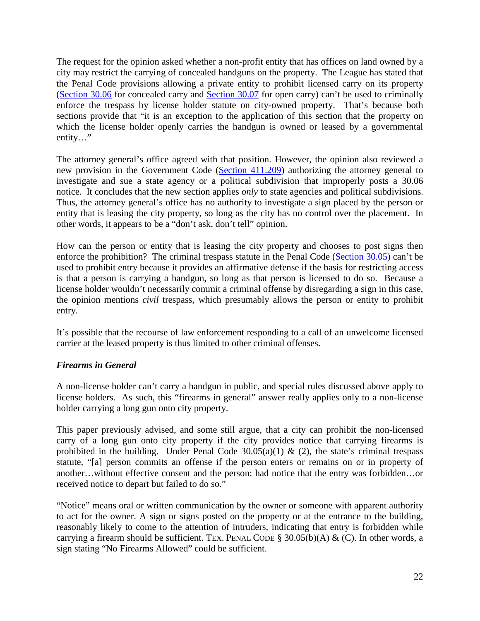The request for the opinion asked whether a non-profit entity that has offices on land owned by a city may restrict the carrying of concealed handguns on the property. The League has stated that the Penal Code provisions allowing a private entity to prohibit licensed carry on its property [\(Section 30.06](http://www.statutes.legis.state.tx.us/Docs/PE/htm/PE.30.htm#30.06) for concealed carry and [Section 30.07](http://www.statutes.legis.state.tx.us/Docs/PE/htm/PE.30.htm#30.07) for open carry) can't be used to criminally enforce the trespass by license holder statute on city-owned property. That's because both sections provide that "it is an exception to the application of this section that the property on which the license holder openly carries the handgun is owned or leased by a governmental entity…"

The attorney general's office agreed with that position. However, the opinion also reviewed a new provision in the Government Code [\(Section 411.209\)](http://www.statutes.legis.state.tx.us/Docs/GV/htm/GV.411.htm#411.209) authorizing the attorney general to investigate and sue a state agency or a political subdivision that improperly posts a 30.06 notice. It concludes that the new section applies *only* to state agencies and political subdivisions. Thus, the attorney general's office has no authority to investigate a sign placed by the person or entity that is leasing the city property, so long as the city has no control over the placement. In other words, it appears to be a "don't ask, don't tell" opinion.

How can the person or entity that is leasing the city property and chooses to post signs then enforce the prohibition? The criminal trespass statute in the Penal Code [\(Section 30.05\)](http://www.statutes.legis.state.tx.us/Docs/PE/htm/PE.30.htm#30.05) can't be used to prohibit entry because it provides an affirmative defense if the basis for restricting access is that a person is carrying a handgun, so long as that person is licensed to do so. Because a license holder wouldn't necessarily commit a criminal offense by disregarding a sign in this case, the opinion mentions *civil* trespass, which presumably allows the person or entity to prohibit entry.

It's possible that the recourse of law enforcement responding to a call of an unwelcome licensed carrier at the leased property is thus limited to other criminal offenses.

# <span id="page-21-0"></span>*Firearms in General*

A non-license holder can't carry a handgun in public, and special rules discussed above apply to license holders. As such, this "firearms in general" answer really applies only to a non-license holder carrying a long gun onto city property.

This paper previously advised, and some still argue, that a city can prohibit the non-licensed carry of a long gun onto city property if the city provides notice that carrying firearms is prohibited in the building. Under Penal Code  $30.05(a)(1)$  & (2), the state's criminal trespass statute, "[a] person commits an offense if the person enters or remains on or in property of another…without effective consent and the person: had notice that the entry was forbidden…or received notice to depart but failed to do so."

"Notice" means oral or written communication by the owner or someone with apparent authority to act for the owner. A sign or signs posted on the property or at the entrance to the building, reasonably likely to come to the attention of intruders, indicating that entry is forbidden while carrying a firearm should be sufficient. TEX. PENAL CODE § 30.05(b)(A) & (C). In other words, a sign stating "No Firearms Allowed" could be sufficient.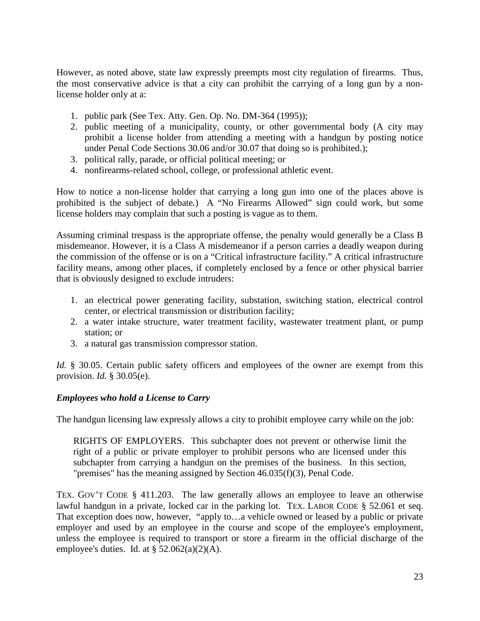However, as noted above, state law expressly preempts most city regulation of firearms. Thus, the most conservative advice is that a city can prohibit the carrying of a long gun by a nonlicense holder only at a:

- 1. public park (See Tex. Atty. Gen. Op. No. DM-364 (1995));
- 2. public meeting of a municipality, county, or other governmental body (A city may prohibit a license holder from attending a meeting with a handgun by posting notice under Penal Code Sections 30.06 and/or 30.07 that doing so is prohibited.);
- 3. political rally, parade, or official political meeting; or
- 4. nonfirearms-related school, college, or professional athletic event.

How to notice a non-license holder that carrying a long gun into one of the places above is prohibited is the subject of debate*.*) A "No Firearms Allowed" sign could work, but some license holders may complain that such a posting is vague as to them.

Assuming criminal trespass is the appropriate offense, the penalty would generally be a Class B misdemeanor. However, it is a Class A misdemeanor if a person carries a deadly weapon during the commission of the offense or is on a "Critical infrastructure facility." A critical infrastructure facility means, among other places, if completely enclosed by a fence or other physical barrier that is obviously designed to exclude intruders:

- 1. an electrical power generating facility, substation, switching station, electrical control center, or electrical transmission or distribution facility;
- 2. a water intake structure, water treatment facility, wastewater treatment plant, or pump station; or
- 3. a natural gas transmission compressor station.

*Id.* § 30.05. Certain public safety officers and employees of the owner are exempt from this provision. *Id.* § 30.05(e).

## <span id="page-22-0"></span>*Employees who hold a License to Carry*

The handgun licensing law expressly allows a city to prohibit employee carry while on the job:

RIGHTS OF EMPLOYERS. This subchapter does not prevent or otherwise limit the right of a public or private employer to prohibit persons who are licensed under this subchapter from carrying a handgun on the premises of the business. In this section, "premises" has the meaning assigned by Section 46.035(f)(3), Penal Code.

TEX. GOV'T CODE § 411.203. The law generally allows an employee to leave an otherwise lawful handgun in a private, locked car in the parking lot. TEX. LABOR CODE § 52.061 et seq. That exception does now, however, "apply to…a vehicle owned or leased by a public or private employer and used by an employee in the course and scope of the employee's employment, unless the employee is required to transport or store a firearm in the official discharge of the employee's duties. Id. at  $\S$  52.062(a)(2)(A).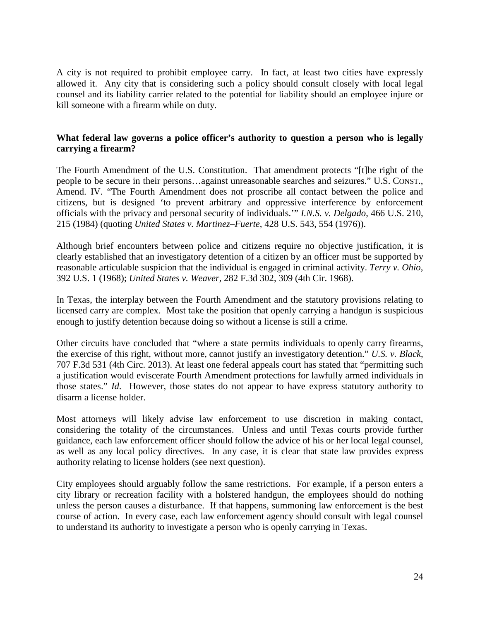A city is not required to prohibit employee carry. In fact, at least two cities have expressly allowed it. Any city that is considering such a policy should consult closely with local legal counsel and its liability carrier related to the potential for liability should an employee injure or kill someone with a firearm while on duty.

# <span id="page-23-0"></span>**What federal law governs a police officer's authority to question a person who is legally carrying a firearm?**

The Fourth Amendment of the U.S. Constitution. That amendment protects "[t]he right of the people to be secure in their persons…against unreasonable searches and seizures." U.S. CONST., Amend. IV. "The Fourth Amendment does not proscribe all contact between the police and citizens, but is designed 'to prevent arbitrary and oppressive interference by enforcement officials with the privacy and personal security of individuals.'" *I.N.S. v. Delgado*, 466 U.S. 210, 215 (1984) (quoting *United States v. Martinez–Fuerte*, 428 U.S. 543, 554 (1976)).

Although brief encounters between police and citizens require no objective justification, it is clearly established that an investigatory detention of a citizen by an officer must be supported by reasonable articulable suspicion that the individual is engaged in criminal activity. *Terry v. Ohio*, 392 U.S. 1 (1968); *United States v. Weaver*, 282 F.3d 302, 309 (4th Cir. 1968).

In Texas, the interplay between the Fourth Amendment and the statutory provisions relating to licensed carry are complex. Most take the position that openly carrying a handgun is suspicious enough to justify detention because doing so without a license is still a crime.

Other circuits have concluded that "where a state permits individuals to openly carry firearms, the exercise of this right, without more, cannot justify an investigatory detention." *U.S. v. Black*, 707 F.3d 531 (4th Circ. 2013). At least one federal appeals court has stated that "permitting such a justification would eviscerate Fourth Amendment protections for lawfully armed individuals in those states." *Id*. However, those states do not appear to have express statutory authority to disarm a license holder.

Most attorneys will likely advise law enforcement to use discretion in making contact, considering the totality of the circumstances. Unless and until Texas courts provide further guidance, each law enforcement officer should follow the advice of his or her local legal counsel, as well as any local policy directives. In any case, it is clear that state law provides express authority relating to license holders (see next question).

City employees should arguably follow the same restrictions. For example, if a person enters a city library or recreation facility with a holstered handgun, the employees should do nothing unless the person causes a disturbance. If that happens, summoning law enforcement is the best course of action. In every case, each law enforcement agency should consult with legal counsel to understand its authority to investigate a person who is openly carrying in Texas.